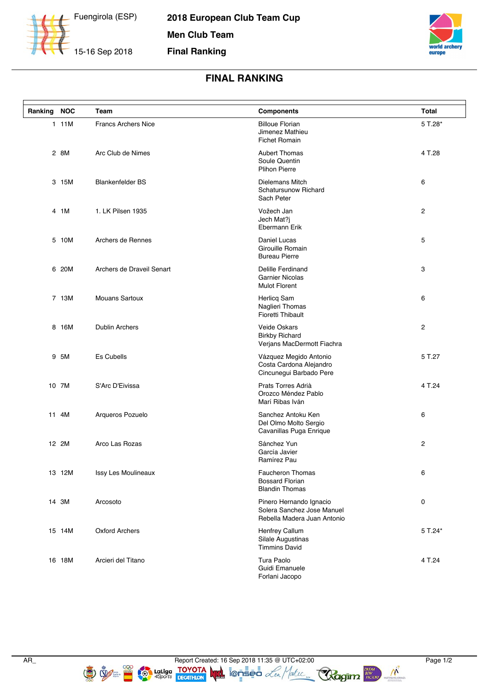

**2018 European Club Team Cup Men Club Team Final Ranking**



## **FINAL RANKING**

| Ranking | <b>NOC</b> | Team                       | <b>Components</b>                                                                    | Total          |
|---------|------------|----------------------------|--------------------------------------------------------------------------------------|----------------|
|         | 111M       | <b>Francs Archers Nice</b> | <b>Billoue Florian</b><br>Jimenez Mathieu<br><b>Fichet Romain</b>                    | 5 T.28*        |
|         | 2 8M       | Arc Club de Nimes          | <b>Aubert Thomas</b><br>Soule Quentin<br><b>Plihon Pierre</b>                        | 4 T.28         |
|         | 3 15M      | <b>Blankenfelder BS</b>    | <b>Dielemans Mitch</b><br>Schatursunow Richard<br>Sach Peter                         | 6              |
|         | 4 1M       | 1. LK Pilsen 1935          | Vožech Jan<br>Jech Mat?j<br>Ebermann Erik                                            | 2              |
|         | 5 10M      | Archers de Rennes          | Daniel Lucas<br>Girouille Romain<br><b>Bureau Pierre</b>                             | 5              |
|         | 6 20M      | Archers de Draveil Senart  | Delille Ferdinand<br><b>Garnier Nicolas</b><br><b>Mulot Florent</b>                  | 3              |
|         | 7 13M      | <b>Mouans Sartoux</b>      | <b>Herlicq Sam</b><br>Naglieri Thomas<br><b>Fioretti Thibault</b>                    | 6              |
|         | 8 16M      | <b>Dublin Archers</b>      | <b>Veide Oskars</b><br><b>Birkby Richard</b><br>Verjans MacDermott Fiachra           | $\overline{c}$ |
|         | 9 5M       | <b>Es Cubells</b>          | Vázquez Megido Antonio<br>Costa Cardona Alejandro<br>Cincunegui Barbado Pere         | 5 T.27         |
|         | 10 7M      | S'Arc D'Eivissa            | Prats Torres Adrià<br>Orozco Méndez Pablo<br>Marí Ribas Iván                         | 4 T 24         |
|         | 11 4M      | Arqueros Pozuelo           | Sanchez Antoku Ken<br>Del Olmo Molto Sergio<br>Cavanillas Puga Enrique               | 6              |
|         | 12 2M      | Arco Las Rozas             | Sánchez Yun<br>García Javier<br>Ramírez Pau                                          | 2              |
|         | 13 12M     | Issy Les Moulineaux        | Faucheron Thomas<br><b>Bossard Florian</b><br><b>Blandin Thomas</b>                  | 6              |
|         | 14 3M      | Arcosoto                   | Pinero Hernando Ignacio<br>Solera Sanchez Jose Manuel<br>Rebella Madera Juan Antonio | 0              |
|         | 15 14M     | Oxford Archers             | Henfrey Callum<br>Silale Augustinas<br><b>Timmins David</b>                          | 5 T.24*        |
|         | 16 18M     | Arcieri del Titano         | Tura Paolo<br>Guidi Emanuele<br>Forlani Jacopo                                       | 4 T.24         |